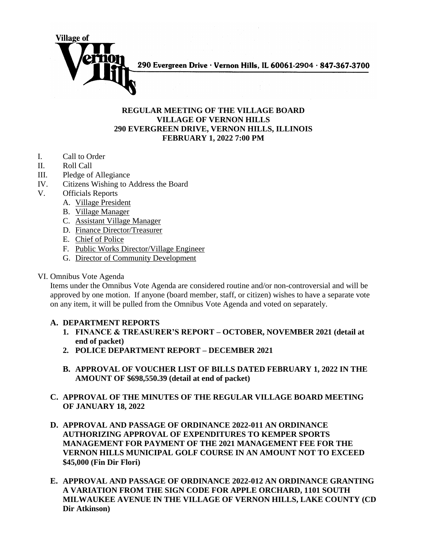

## **REGULAR MEETING OF THE VILLAGE BOARD VILLAGE OF VERNON HILLS 290 EVERGREEN DRIVE, VERNON HILLS, ILLINOIS FEBRUARY 1, 2022 7:00 PM**

- I. Call to Order
- II. Roll Call
- III. Pledge of Allegiance
- IV. Citizens Wishing to Address the Board
- V. Officials Reports
	- A. Village President
	- B. Village Manager
	- C. Assistant Village Manager
	- D. Finance Director/Treasurer
	- E. Chief of Police
	- F. Public Works Director/Village Engineer
	- G. Director of Community Development
- VI. Omnibus Vote Agenda

Items under the Omnibus Vote Agenda are considered routine and/or non-controversial and will be approved by one motion. If anyone (board member, staff, or citizen) wishes to have a separate vote on any item, it will be pulled from the Omnibus Vote Agenda and voted on separately.

## **A. DEPARTMENT REPORTS**

- **1. FINANCE & TREASURER'S REPORT – OCTOBER, NOVEMBER 2021 (detail at end of packet)**
- **2. POLICE DEPARTMENT REPORT – DECEMBER 2021**
- **B. APPROVAL OF VOUCHER LIST OF BILLS DATED FEBRUARY 1, 2022 IN THE AMOUNT OF \$698,550.39 (detail at end of packet)**
- **C. APPROVAL OF THE MINUTES OF THE REGULAR VILLAGE BOARD MEETING OF JANUARY 18, 2022**
- **D. APPROVAL AND PASSAGE OF ORDINANCE 2022-011 AN ORDINANCE AUTHORIZING APPROVAL OF EXPENDITURES TO KEMPER SPORTS MANAGEMENT FOR PAYMENT OF THE 2021 MANAGEMENT FEE FOR THE VERNON HILLS MUNICIPAL GOLF COURSE IN AN AMOUNT NOT TO EXCEED \$45,000 (Fin Dir Flori)**
- **E. APPROVAL AND PASSAGE OF ORDINANCE 2022-012 AN ORDINANCE GRANTING A VARIATION FROM THE SIGN CODE FOR APPLE ORCHARD, 1101 SOUTH MILWAUKEE AVENUE IN THE VILLAGE OF VERNON HILLS, LAKE COUNTY (CD Dir Atkinson)**